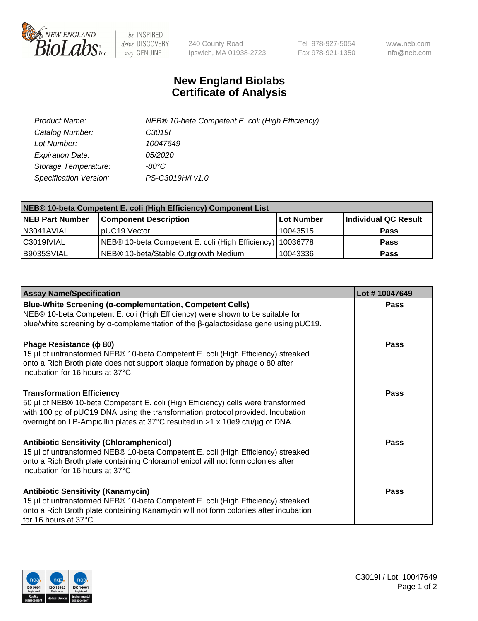

 $be$  INSPIRED drive DISCOVERY stay GENUINE

240 County Road Ipswich, MA 01938-2723 Tel 978-927-5054 Fax 978-921-1350 www.neb.com info@neb.com

## **New England Biolabs Certificate of Analysis**

| Product Name:                 | NEB® 10-beta Competent E. coli (High Efficiency) |
|-------------------------------|--------------------------------------------------|
| Catalog Number:               | C <sub>3019</sub>                                |
| Lot Number:                   | 10047649                                         |
| <b>Expiration Date:</b>       | <i>05/2020</i>                                   |
| Storage Temperature:          | -80°C                                            |
| <b>Specification Version:</b> | PS-C3019H/I v1.0                                 |

| NEB® 10-beta Competent E. coli (High Efficiency) Component List |                                                             |            |                      |  |
|-----------------------------------------------------------------|-------------------------------------------------------------|------------|----------------------|--|
| <b>NEB Part Number</b>                                          | <b>Component Description</b>                                | Lot Number | Individual QC Result |  |
| N3041AVIAL                                                      | pUC19 Vector                                                | 10043515   | <b>Pass</b>          |  |
| C3019IVIAL                                                      | NEB® 10-beta Competent E. coli (High Efficiency)   10036778 |            | <b>Pass</b>          |  |
| B9035SVIAL                                                      | NEB <sup>®</sup> 10-beta/Stable Outgrowth Medium            | 10043336   | <b>Pass</b>          |  |

| <b>Assay Name/Specification</b>                                                                                                                                                                                                                                                           | Lot #10047649 |
|-------------------------------------------------------------------------------------------------------------------------------------------------------------------------------------------------------------------------------------------------------------------------------------------|---------------|
| Blue-White Screening (α-complementation, Competent Cells)<br>NEB® 10-beta Competent E. coli (High Efficiency) were shown to be suitable for<br>blue/white screening by $\alpha$ -complementation of the $\beta$ -galactosidase gene using pUC19.                                          | <b>Pass</b>   |
| Phage Resistance ( $\phi$ 80)<br>15 µl of untransformed NEB® 10-beta Competent E. coli (High Efficiency) streaked<br>onto a Rich Broth plate does not support plaque formation by phage $\phi$ 80 after<br>incubation for 16 hours at 37°C.                                               | <b>Pass</b>   |
| <b>Transformation Efficiency</b><br>50 µl of NEB® 10-beta Competent E. coli (High Efficiency) cells were transformed<br>with 100 pg of pUC19 DNA using the transformation protocol provided. Incubation<br>overnight on LB-Ampicillin plates at 37°C resulted in >1 x 10e9 cfu/µg of DNA. | Pass          |
| <b>Antibiotic Sensitivity (Chloramphenicol)</b><br>15 µl of untransformed NEB® 10-beta Competent E. coli (High Efficiency) streaked<br>onto a Rich Broth plate containing Chloramphenicol will not form colonies after<br>incubation for 16 hours at 37°C.                                | Pass          |
| <b>Antibiotic Sensitivity (Kanamycin)</b><br>15 µl of untransformed NEB® 10-beta Competent E. coli (High Efficiency) streaked<br>onto a Rich Broth plate containing Kanamycin will not form colonies after incubation<br>for 16 hours at 37°C.                                            | Pass          |